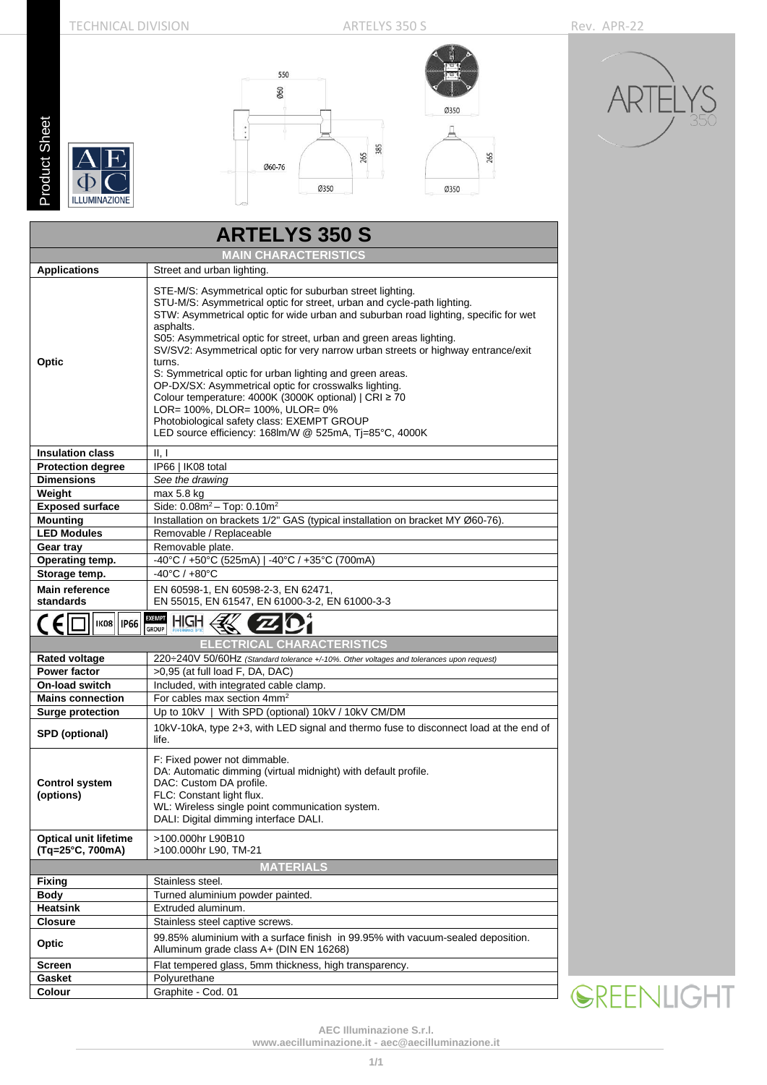## TECHNICAL DIVISION ARTELYS 350 S Rev. APR-22

265

**Product Sheet** Product Sheet

 $\Phi$ 

**ILLUMINAZIONE** 





**SREENLIGHT** 

| <b>ARTELYS 350 S</b>                             |                                                                                                                                                                                                                                                                                                                                                                                                                                                                                                                                                                                                                                                                                                                                        |  |  |  |  |  |  |
|--------------------------------------------------|----------------------------------------------------------------------------------------------------------------------------------------------------------------------------------------------------------------------------------------------------------------------------------------------------------------------------------------------------------------------------------------------------------------------------------------------------------------------------------------------------------------------------------------------------------------------------------------------------------------------------------------------------------------------------------------------------------------------------------------|--|--|--|--|--|--|
| <b>MAIN CHARACTERISTICS</b>                      |                                                                                                                                                                                                                                                                                                                                                                                                                                                                                                                                                                                                                                                                                                                                        |  |  |  |  |  |  |
| <b>Applications</b>                              | Street and urban lighting.                                                                                                                                                                                                                                                                                                                                                                                                                                                                                                                                                                                                                                                                                                             |  |  |  |  |  |  |
| Optic                                            | STE-M/S: Asymmetrical optic for suburban street lighting.<br>STU-M/S: Asymmetrical optic for street, urban and cycle-path lighting.<br>STW: Asymmetrical optic for wide urban and suburban road lighting, specific for wet<br>asphalts.<br>S05: Asymmetrical optic for street, urban and green areas lighting.<br>SV/SV2: Asymmetrical optic for very narrow urban streets or highway entrance/exit<br>turns.<br>S: Symmetrical optic for urban lighting and green areas.<br>OP-DX/SX: Asymmetrical optic for crosswalks lighting.<br>Colour temperature: 4000K (3000K optional)   CRI ≥ 70<br>LOR= 100%, DLOR= 100%, ULOR= 0%<br>Photobiological safety class: EXEMPT GROUP<br>LED source efficiency: 168lm/W @ 525mA, Tj=85°C, 4000K |  |  |  |  |  |  |
| <b>Insulation class</b>                          | II, I                                                                                                                                                                                                                                                                                                                                                                                                                                                                                                                                                                                                                                                                                                                                  |  |  |  |  |  |  |
| <b>Protection degree</b>                         | IP66   IK08 total                                                                                                                                                                                                                                                                                                                                                                                                                                                                                                                                                                                                                                                                                                                      |  |  |  |  |  |  |
| <b>Dimensions</b>                                | See the drawing                                                                                                                                                                                                                                                                                                                                                                                                                                                                                                                                                                                                                                                                                                                        |  |  |  |  |  |  |
| Weight                                           | max 5.8 kg                                                                                                                                                                                                                                                                                                                                                                                                                                                                                                                                                                                                                                                                                                                             |  |  |  |  |  |  |
| <b>Exposed surface</b>                           | Side: $0.08m^2 - Top$ : $0.10m^2$                                                                                                                                                                                                                                                                                                                                                                                                                                                                                                                                                                                                                                                                                                      |  |  |  |  |  |  |
| <b>Mounting</b>                                  | Installation on brackets 1/2" GAS (typical installation on bracket MY Ø60-76).                                                                                                                                                                                                                                                                                                                                                                                                                                                                                                                                                                                                                                                         |  |  |  |  |  |  |
| <b>LED Modules</b>                               | Removable / Replaceable                                                                                                                                                                                                                                                                                                                                                                                                                                                                                                                                                                                                                                                                                                                |  |  |  |  |  |  |
| Gear tray                                        | Removable plate.                                                                                                                                                                                                                                                                                                                                                                                                                                                                                                                                                                                                                                                                                                                       |  |  |  |  |  |  |
| Operating temp.                                  | -40°C / +50°C (525mA)   -40°C / +35°C (700mA)                                                                                                                                                                                                                                                                                                                                                                                                                                                                                                                                                                                                                                                                                          |  |  |  |  |  |  |
| Storage temp.                                    | $-40^{\circ}$ C / $+80^{\circ}$ C                                                                                                                                                                                                                                                                                                                                                                                                                                                                                                                                                                                                                                                                                                      |  |  |  |  |  |  |
| <b>Main reference</b>                            | EN 60598-1, EN 60598-2-3, EN 62471,                                                                                                                                                                                                                                                                                                                                                                                                                                                                                                                                                                                                                                                                                                    |  |  |  |  |  |  |
| standards                                        | EN 55015, EN 61547, EN 61000-3-2, EN 61000-3-3                                                                                                                                                                                                                                                                                                                                                                                                                                                                                                                                                                                                                                                                                         |  |  |  |  |  |  |
| $\epsilon$<br><b>IP66</b><br><b>IK08</b>         | <b>EXEMPT</b><br>HIGH<br><b>GROUP</b>                                                                                                                                                                                                                                                                                                                                                                                                                                                                                                                                                                                                                                                                                                  |  |  |  |  |  |  |
|                                                  | <b>ELECTRICAL CHARACTERISTICS</b>                                                                                                                                                                                                                                                                                                                                                                                                                                                                                                                                                                                                                                                                                                      |  |  |  |  |  |  |
| <b>Rated voltage</b>                             | 220÷240V 50/60Hz (Standard tolerance +/-10%. Other voltages and tolerances upon request)                                                                                                                                                                                                                                                                                                                                                                                                                                                                                                                                                                                                                                               |  |  |  |  |  |  |
| <b>Power factor</b>                              | >0,95 (at full load F, DA, DAC)                                                                                                                                                                                                                                                                                                                                                                                                                                                                                                                                                                                                                                                                                                        |  |  |  |  |  |  |
| <b>On-load switch</b>                            | Included, with integrated cable clamp.                                                                                                                                                                                                                                                                                                                                                                                                                                                                                                                                                                                                                                                                                                 |  |  |  |  |  |  |
| <b>Mains connection</b>                          | For cables max section 4mm <sup>2</sup>                                                                                                                                                                                                                                                                                                                                                                                                                                                                                                                                                                                                                                                                                                |  |  |  |  |  |  |
| <b>Surge protection</b>                          | Up to 10kV   With SPD (optional) 10kV / 10kV CM/DM                                                                                                                                                                                                                                                                                                                                                                                                                                                                                                                                                                                                                                                                                     |  |  |  |  |  |  |
| SPD (optional)                                   | 10kV-10kA, type 2+3, with LED signal and thermo fuse to disconnect load at the end of<br>life.                                                                                                                                                                                                                                                                                                                                                                                                                                                                                                                                                                                                                                         |  |  |  |  |  |  |
| <b>Control system</b><br>(options)               | F: Fixed power not dimmable.<br>DA: Automatic dimming (virtual midnight) with default profile.<br>DAC: Custom DA profile.<br>FLC: Constant light flux.<br>WL: Wireless single point communication system.<br>DALI: Digital dimming interface DALI.                                                                                                                                                                                                                                                                                                                                                                                                                                                                                     |  |  |  |  |  |  |
| <b>Optical unit lifetime</b><br>(Tq=25°C, 700mA) | >100.000hr L90B10<br>>100.000hr L90, TM-21                                                                                                                                                                                                                                                                                                                                                                                                                                                                                                                                                                                                                                                                                             |  |  |  |  |  |  |
|                                                  | <b>MATERIALS</b>                                                                                                                                                                                                                                                                                                                                                                                                                                                                                                                                                                                                                                                                                                                       |  |  |  |  |  |  |
| Fixing                                           | Stainless steel.                                                                                                                                                                                                                                                                                                                                                                                                                                                                                                                                                                                                                                                                                                                       |  |  |  |  |  |  |
| Body                                             | Turned aluminium powder painted.                                                                                                                                                                                                                                                                                                                                                                                                                                                                                                                                                                                                                                                                                                       |  |  |  |  |  |  |
| <b>Heatsink</b>                                  | Extruded aluminum.                                                                                                                                                                                                                                                                                                                                                                                                                                                                                                                                                                                                                                                                                                                     |  |  |  |  |  |  |
| <b>Closure</b>                                   | Stainless steel captive screws.                                                                                                                                                                                                                                                                                                                                                                                                                                                                                                                                                                                                                                                                                                        |  |  |  |  |  |  |
| Optic                                            | 99.85% aluminium with a surface finish in 99.95% with vacuum-sealed deposition.<br>Alluminum grade class A+ (DIN EN 16268)                                                                                                                                                                                                                                                                                                                                                                                                                                                                                                                                                                                                             |  |  |  |  |  |  |
| <b>Screen</b>                                    | Flat tempered glass, 5mm thickness, high transparency.                                                                                                                                                                                                                                                                                                                                                                                                                                                                                                                                                                                                                                                                                 |  |  |  |  |  |  |
| Gasket                                           | Polyurethane                                                                                                                                                                                                                                                                                                                                                                                                                                                                                                                                                                                                                                                                                                                           |  |  |  |  |  |  |
| Colour                                           | Graphite - Cod. 01                                                                                                                                                                                                                                                                                                                                                                                                                                                                                                                                                                                                                                                                                                                     |  |  |  |  |  |  |

**AEC Illuminazione S.r.l.**

**[www.aecilluminazione.it](http://www.aecilluminazione.it/) - [aec@aecilluminazione.it](mailto:aec@aecilluminazione.it)**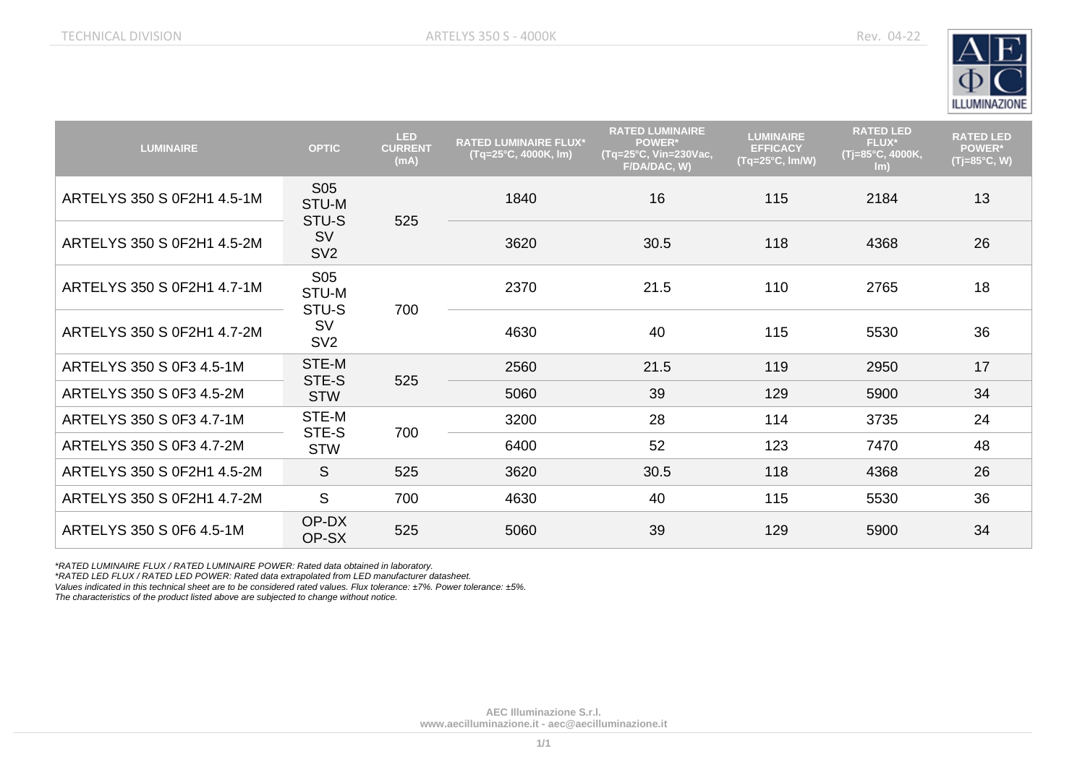

| <b>LUMINAIRE</b>           | <b>OPTIC</b>                                                      | <b>LED</b><br><b>CURRENT</b><br>(mA) | <b>RATED LUMINAIRE FLUX*</b><br>$(Tq=25°C, 4000K, Im)$ | <b>RATED LUMINAIRE</b><br><b>POWER*</b><br>(Tq=25°C, Vin=230Vac,<br>F/DA/DAC, W) | <b>LUMINAIRE</b><br><b>EFFICACY</b><br>$(Tq=25^{\circ}C, Im/W)$ | <b>RATED LED</b><br><b>FLUX*</b><br>(Tj=85°C, 4000K,<br>$\mathsf{Im}$ | <b>RATED LED</b><br><b>POWER*</b><br>(Tj=85°C, W) |    |
|----------------------------|-------------------------------------------------------------------|--------------------------------------|--------------------------------------------------------|----------------------------------------------------------------------------------|-----------------------------------------------------------------|-----------------------------------------------------------------------|---------------------------------------------------|----|
| ARTELYS 350 S 0F2H1 4.5-1M | S <sub>05</sub><br>STU-M<br>STU-S<br><b>SV</b><br>SV <sub>2</sub> |                                      | 1840                                                   | 16                                                                               | 115                                                             | 2184                                                                  | 13                                                |    |
| ARTELYS 350 S 0F2H1 4.5-2M |                                                                   | 525                                  | 3620                                                   | 30.5                                                                             | 118                                                             | 4368                                                                  | 26                                                |    |
| ARTELYS 350 S 0F2H1 4.7-1M | S05<br>STU-M<br>STU-S<br><b>SV</b><br>SV <sub>2</sub>             | 700                                  | 2370                                                   | 21.5                                                                             | 110                                                             | 2765                                                                  | 18                                                |    |
| ARTELYS 350 S 0F2H1 4.7-2M |                                                                   |                                      | 4630                                                   | 40                                                                               | 115                                                             | 5530                                                                  | 36                                                |    |
| ARTELYS 350 S 0F3 4.5-1M   | STE-M<br>STE-S<br><b>STW</b>                                      | 525                                  | 2560                                                   | 21.5                                                                             | 119                                                             | 2950                                                                  | 17                                                |    |
| ARTELYS 350 S 0F3 4.5-2M   |                                                                   |                                      | 5060                                                   | 39                                                                               | 129                                                             | 5900                                                                  | 34                                                |    |
| ARTELYS 350 S 0F3 4.7-1M   | STE-M<br>STE-S<br><b>STW</b>                                      |                                      |                                                        | 3200                                                                             | 28                                                              | 114                                                                   | 3735                                              | 24 |
| ARTELYS 350 S 0F3 4.7-2M   |                                                                   | 700                                  | 6400                                                   | 52                                                                               | 123                                                             | 7470                                                                  | 48                                                |    |
| ARTELYS 350 S 0F2H1 4.5-2M | S                                                                 | 525                                  | 3620                                                   | 30.5                                                                             | 118                                                             | 4368                                                                  | 26                                                |    |
| ARTELYS 350 S 0F2H1 4.7-2M | S                                                                 | 700                                  | 4630                                                   | 40                                                                               | 115                                                             | 5530                                                                  | 36                                                |    |
| ARTELYS 350 S 0F6 4.5-1M   | OP-DX<br>OP-SX                                                    | 525                                  | 5060                                                   | 39                                                                               | 129                                                             | 5900                                                                  | 34                                                |    |

*\*RATED LUMINAIRE FLUX / RATED LUMINAIRE POWER: Rated data obtained in laboratory.*

*\*RATED LED FLUX / RATED LED POWER: Rated data extrapolated from LED manufacturer datasheet.*

*Values indicated in this technical sheet are to be considered rated values. Flux tolerance: ±7%. Power tolerance: ±5%.*

*The characteristics of the product listed above are subjected to change without notice.*